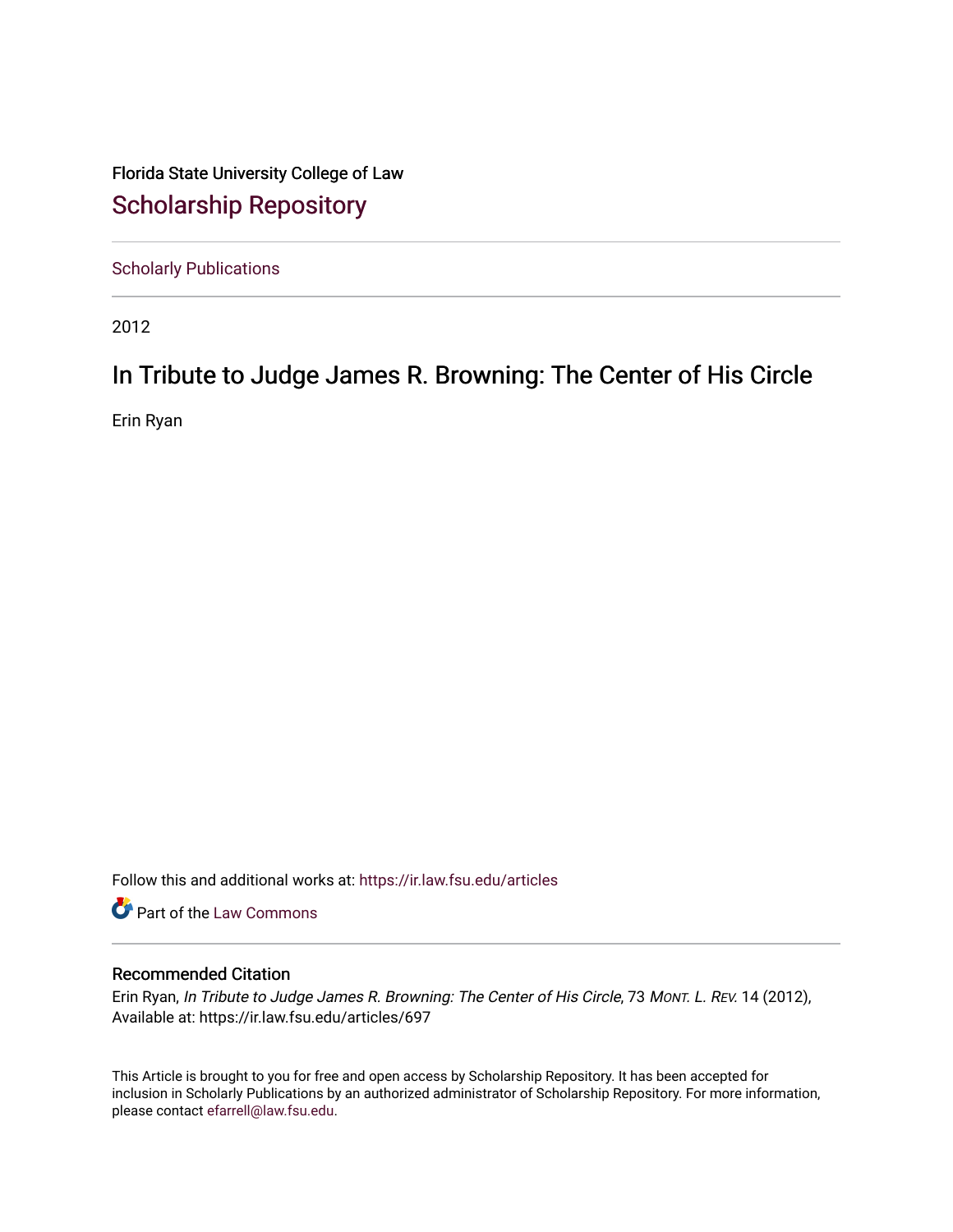Florida State University College of Law [Scholarship Repository](https://ir.law.fsu.edu/) 

[Scholarly Publications](https://ir.law.fsu.edu/articles) 

2012

## In Tribute to Judge James R. Browning: The Center of His Circle

Erin Ryan

Follow this and additional works at: [https://ir.law.fsu.edu/articles](https://ir.law.fsu.edu/articles?utm_source=ir.law.fsu.edu%2Farticles%2F697&utm_medium=PDF&utm_campaign=PDFCoverPages) 

Part of the [Law Commons](https://network.bepress.com/hgg/discipline/578?utm_source=ir.law.fsu.edu%2Farticles%2F697&utm_medium=PDF&utm_campaign=PDFCoverPages)

## Recommended Citation

Erin Ryan, In Tribute to Judge James R. Browning: The Center of His Circle, 73 MONT. L. REV. 14 (2012), Available at: https://ir.law.fsu.edu/articles/697

This Article is brought to you for free and open access by Scholarship Repository. It has been accepted for inclusion in Scholarly Publications by an authorized administrator of Scholarship Repository. For more information, please contact [efarrell@law.fsu.edu.](mailto:efarrell@law.fsu.edu)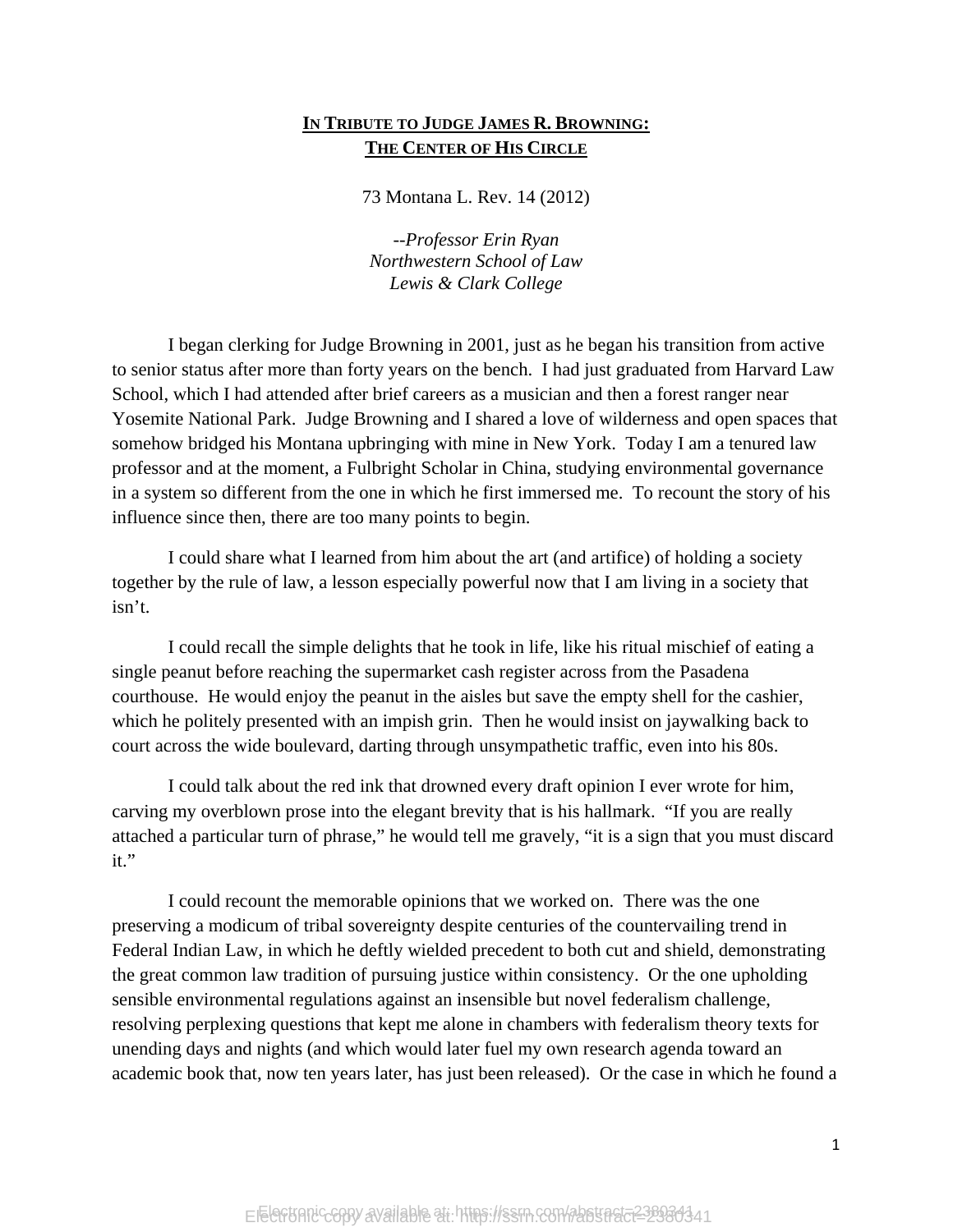## **IN TRIBUTE TO JUDGE JAMES R. BROWNING: THE CENTER OF HIS CIRCLE**

73 Montana L. Rev. 14 (2012)

*--Professor Erin Ryan Northwestern School of Law Lewis & Clark College* 

I began clerking for Judge Browning in 2001, just as he began his transition from active to senior status after more than forty years on the bench. I had just graduated from Harvard Law School, which I had attended after brief careers as a musician and then a forest ranger near Yosemite National Park. Judge Browning and I shared a love of wilderness and open spaces that somehow bridged his Montana upbringing with mine in New York. Today I am a tenured law professor and at the moment, a Fulbright Scholar in China, studying environmental governance in a system so different from the one in which he first immersed me. To recount the story of his influence since then, there are too many points to begin.

I could share what I learned from him about the art (and artifice) of holding a society together by the rule of law, a lesson especially powerful now that I am living in a society that isn't.

I could recall the simple delights that he took in life, like his ritual mischief of eating a single peanut before reaching the supermarket cash register across from the Pasadena courthouse. He would enjoy the peanut in the aisles but save the empty shell for the cashier, which he politely presented with an impish grin. Then he would insist on jaywalking back to court across the wide boulevard, darting through unsympathetic traffic, even into his 80s.

I could talk about the red ink that drowned every draft opinion I ever wrote for him, carving my overblown prose into the elegant brevity that is his hallmark. "If you are really attached a particular turn of phrase," he would tell me gravely, "it is a sign that you must discard it."

I could recount the memorable opinions that we worked on. There was the one preserving a modicum of tribal sovereignty despite centuries of the countervailing trend in Federal Indian Law, in which he deftly wielded precedent to both cut and shield, demonstrating the great common law tradition of pursuing justice within consistency. Or the one upholding sensible environmental regulations against an insensible but novel federalism challenge, resolving perplexing questions that kept me alone in chambers with federalism theory texts for unending days and nights (and which would later fuel my own research agenda toward an academic book that, now ten years later, has just been released). Or the case in which he found a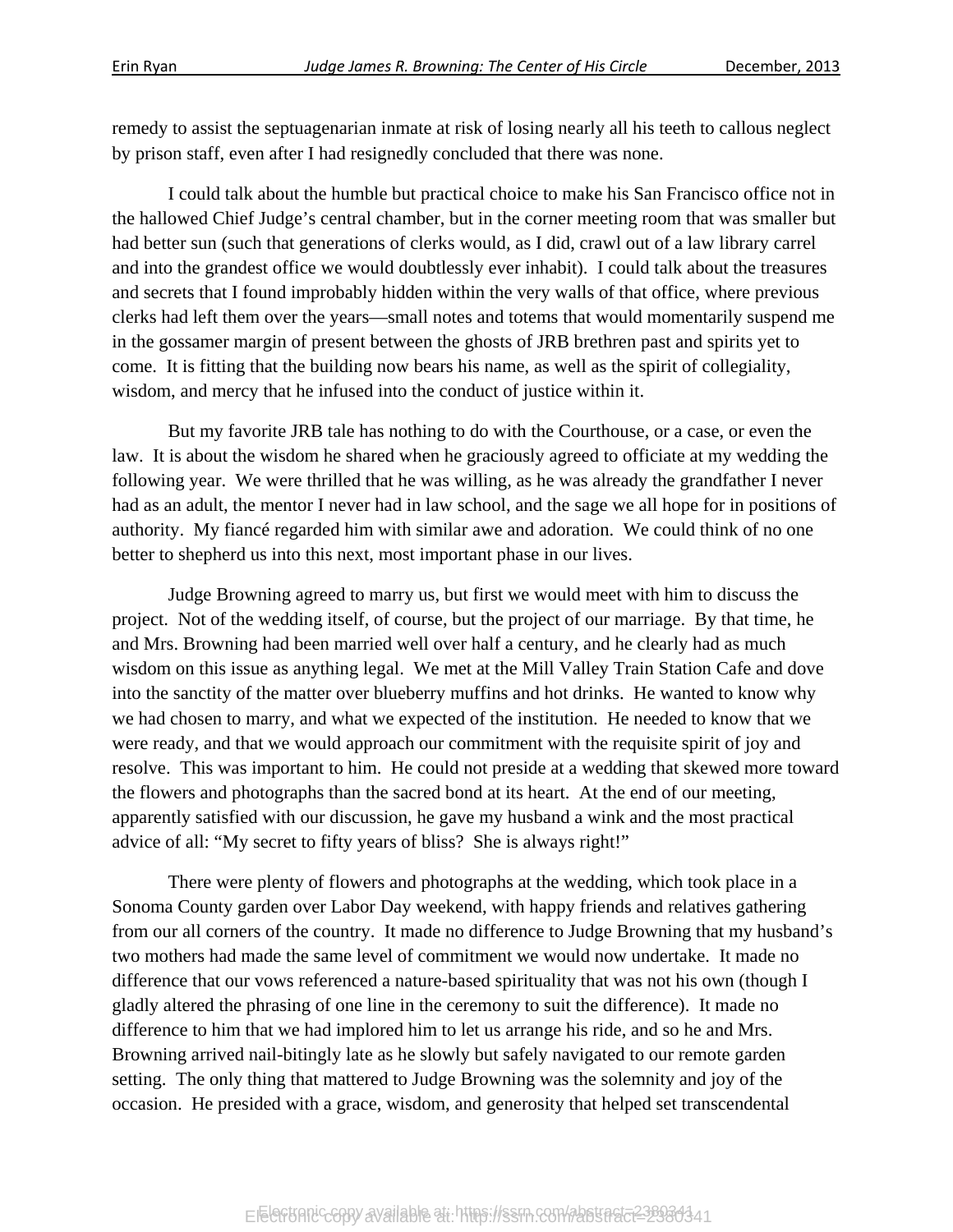remedy to assist the septuagenarian inmate at risk of losing nearly all his teeth to callous neglect by prison staff, even after I had resignedly concluded that there was none.

I could talk about the humble but practical choice to make his San Francisco office not in the hallowed Chief Judge's central chamber, but in the corner meeting room that was smaller but had better sun (such that generations of clerks would, as I did, crawl out of a law library carrel and into the grandest office we would doubtlessly ever inhabit). I could talk about the treasures and secrets that I found improbably hidden within the very walls of that office, where previous clerks had left them over the years—small notes and totems that would momentarily suspend me in the gossamer margin of present between the ghosts of JRB brethren past and spirits yet to come. It is fitting that the building now bears his name, as well as the spirit of collegiality, wisdom, and mercy that he infused into the conduct of justice within it.

But my favorite JRB tale has nothing to do with the Courthouse, or a case, or even the law. It is about the wisdom he shared when he graciously agreed to officiate at my wedding the following year. We were thrilled that he was willing, as he was already the grandfather I never had as an adult, the mentor I never had in law school, and the sage we all hope for in positions of authority. My fiancé regarded him with similar awe and adoration. We could think of no one better to shepherd us into this next, most important phase in our lives.

Judge Browning agreed to marry us, but first we would meet with him to discuss the project. Not of the wedding itself, of course, but the project of our marriage. By that time, he and Mrs. Browning had been married well over half a century, and he clearly had as much wisdom on this issue as anything legal. We met at the Mill Valley Train Station Cafe and dove into the sanctity of the matter over blueberry muffins and hot drinks. He wanted to know why we had chosen to marry, and what we expected of the institution. He needed to know that we were ready, and that we would approach our commitment with the requisite spirit of joy and resolve. This was important to him. He could not preside at a wedding that skewed more toward the flowers and photographs than the sacred bond at its heart. At the end of our meeting, apparently satisfied with our discussion, he gave my husband a wink and the most practical advice of all: "My secret to fifty years of bliss? She is always right!"

There were plenty of flowers and photographs at the wedding, which took place in a Sonoma County garden over Labor Day weekend, with happy friends and relatives gathering from our all corners of the country. It made no difference to Judge Browning that my husband's two mothers had made the same level of commitment we would now undertake. It made no difference that our vows referenced a nature-based spirituality that was not his own (though I gladly altered the phrasing of one line in the ceremony to suit the difference). It made no difference to him that we had implored him to let us arrange his ride, and so he and Mrs. Browning arrived nail-bitingly late as he slowly but safely navigated to our remote garden setting. The only thing that mattered to Judge Browning was the solemnity and joy of the occasion. He presided with a grace, wisdom, and generosity that helped set transcendental